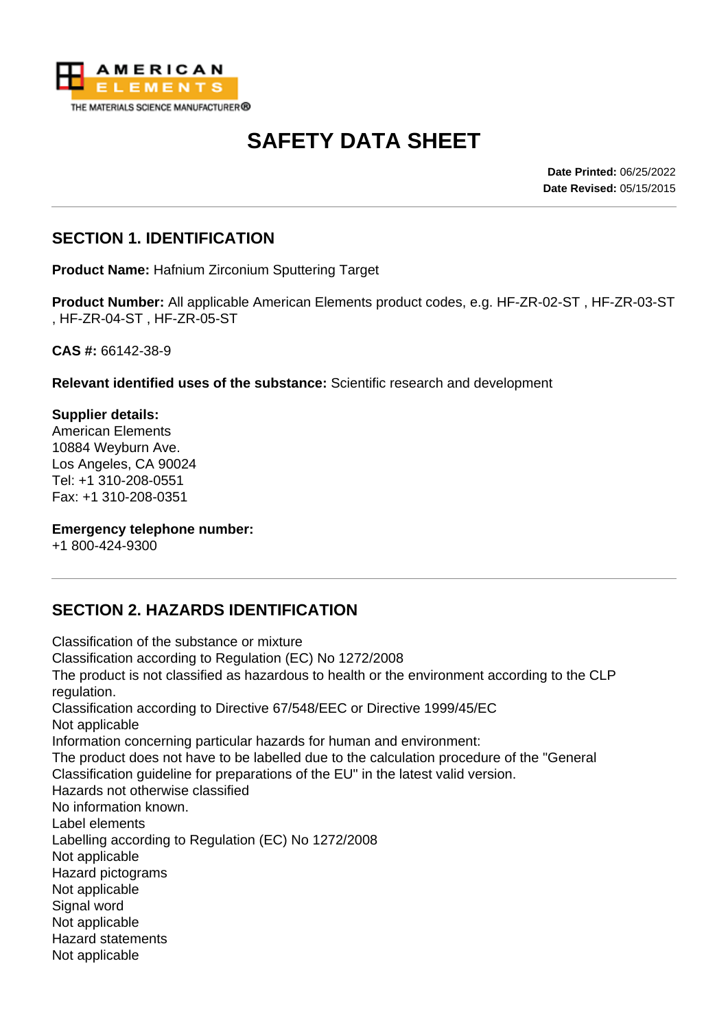

# **SAFETY DATA SHEET**

**Date Printed:** 06/25/2022 **Date Revised:** 05/15/2015

### **SECTION 1. IDENTIFICATION**

**Product Name:** Hafnium Zirconium Sputtering Target

**Product Number:** All applicable American Elements product codes, e.g. HF-ZR-02-ST , HF-ZR-03-ST , HF-ZR-04-ST , HF-ZR-05-ST

**CAS #:** 66142-38-9

**Relevant identified uses of the substance:** Scientific research and development

**Supplier details:** American Elements 10884 Weyburn Ave. Los Angeles, CA 90024 Tel: +1 310-208-0551 Fax: +1 310-208-0351

#### **Emergency telephone number:**

+1 800-424-9300

## **SECTION 2. HAZARDS IDENTIFICATION**

Classification of the substance or mixture Classification according to Regulation (EC) No 1272/2008 The product is not classified as hazardous to health or the environment according to the CLP regulation. Classification according to Directive 67/548/EEC or Directive 1999/45/EC Not applicable Information concerning particular hazards for human and environment: The product does not have to be labelled due to the calculation procedure of the "General Classification guideline for preparations of the EU" in the latest valid version. Hazards not otherwise classified No information known. Label elements Labelling according to Regulation (EC) No 1272/2008 Not applicable Hazard pictograms Not applicable Signal word Not applicable Hazard statements Not applicable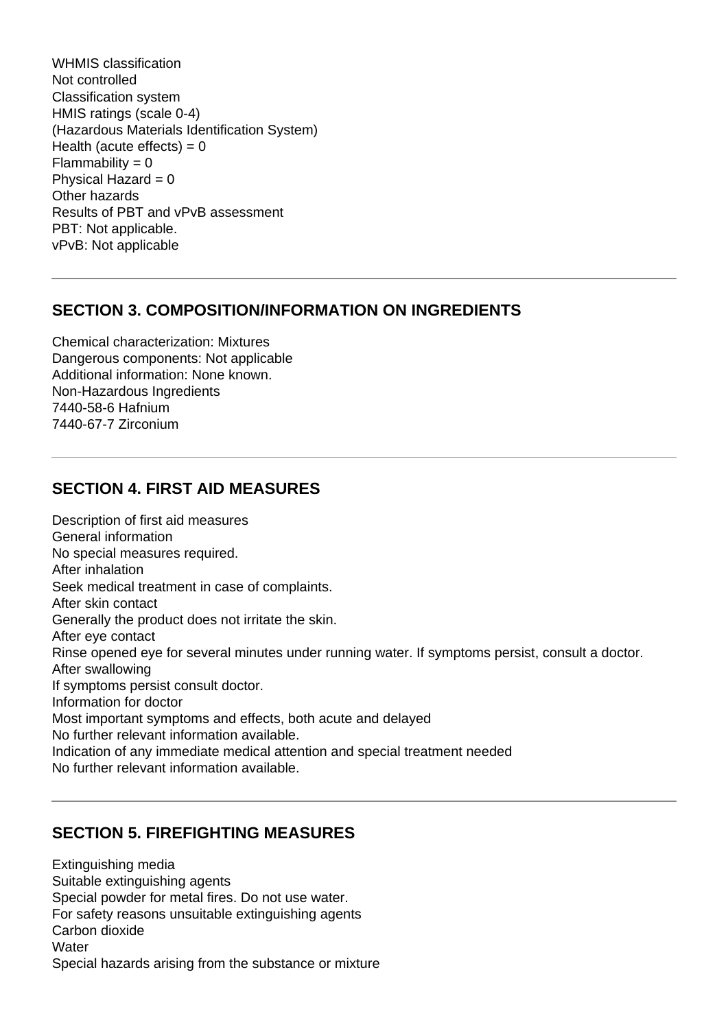WHMIS classification Not controlled Classification system HMIS ratings (scale 0-4) (Hazardous Materials Identification System) Health (acute effects) =  $0$  $Flammability = 0$ Physical Hazard  $= 0$ Other hazards Results of PBT and vPvB assessment PBT: Not applicable. vPvB: Not applicable

#### **SECTION 3. COMPOSITION/INFORMATION ON INGREDIENTS**

Chemical characterization: Mixtures Dangerous components: Not applicable Additional information: None known. Non-Hazardous Ingredients 7440-58-6 Hafnium 7440-67-7 Zirconium

#### **SECTION 4. FIRST AID MEASURES**

Description of first aid measures General information No special measures required. After inhalation Seek medical treatment in case of complaints. After skin contact Generally the product does not irritate the skin. After eye contact Rinse opened eye for several minutes under running water. If symptoms persist, consult a doctor. After swallowing If symptoms persist consult doctor. Information for doctor Most important symptoms and effects, both acute and delayed No further relevant information available. Indication of any immediate medical attention and special treatment needed No further relevant information available.

## **SECTION 5. FIREFIGHTING MEASURES**

Extinguishing media Suitable extinguishing agents Special powder for metal fires. Do not use water. For safety reasons unsuitable extinguishing agents Carbon dioxide **Water** Special hazards arising from the substance or mixture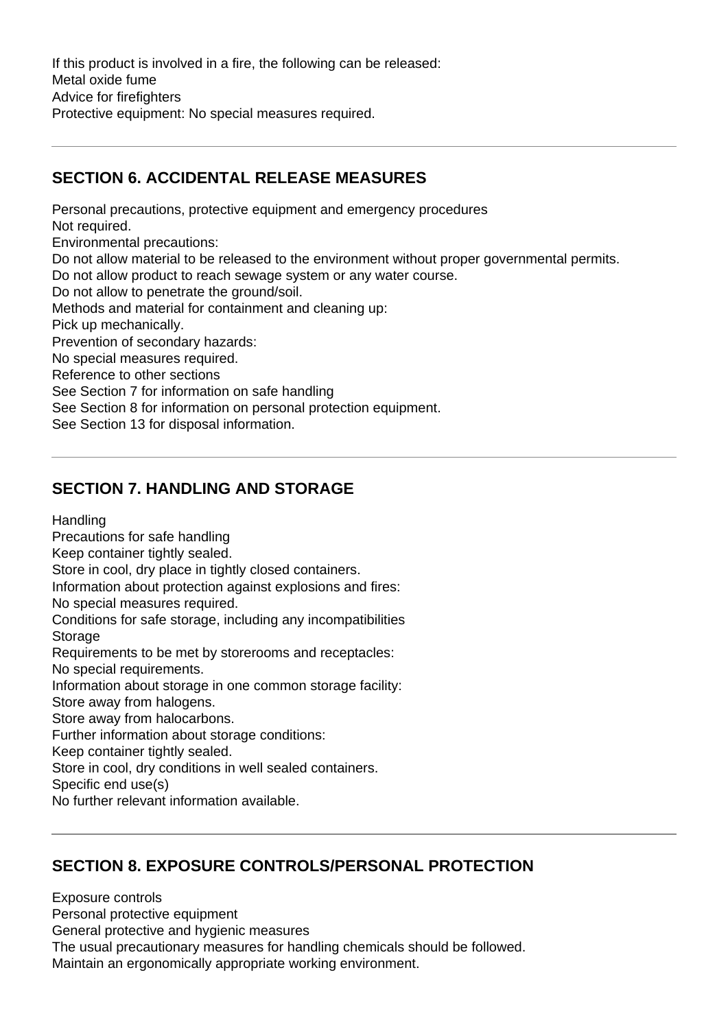If this product is involved in a fire, the following can be released: Metal oxide fume Advice for firefighters Protective equipment: No special measures required.

## **SECTION 6. ACCIDENTAL RELEASE MEASURES**

Personal precautions, protective equipment and emergency procedures Not required. Environmental precautions: Do not allow material to be released to the environment without proper governmental permits. Do not allow product to reach sewage system or any water course. Do not allow to penetrate the ground/soil. Methods and material for containment and cleaning up: Pick up mechanically. Prevention of secondary hazards: No special measures required. Reference to other sections See Section 7 for information on safe handling See Section 8 for information on personal protection equipment. See Section 13 for disposal information.

## **SECTION 7. HANDLING AND STORAGE**

**Handling** 

Precautions for safe handling

Keep container tightly sealed.

Store in cool, dry place in tightly closed containers.

Information about protection against explosions and fires:

No special measures required.

Conditions for safe storage, including any incompatibilities **Storage** 

Requirements to be met by storerooms and receptacles:

No special requirements.

Information about storage in one common storage facility:

Store away from halogens.

Store away from halocarbons.

Further information about storage conditions:

Keep container tightly sealed.

Store in cool, dry conditions in well sealed containers.

Specific end use(s)

No further relevant information available.

#### **SECTION 8. EXPOSURE CONTROLS/PERSONAL PROTECTION**

Exposure controls Personal protective equipment General protective and hygienic measures The usual precautionary measures for handling chemicals should be followed. Maintain an ergonomically appropriate working environment.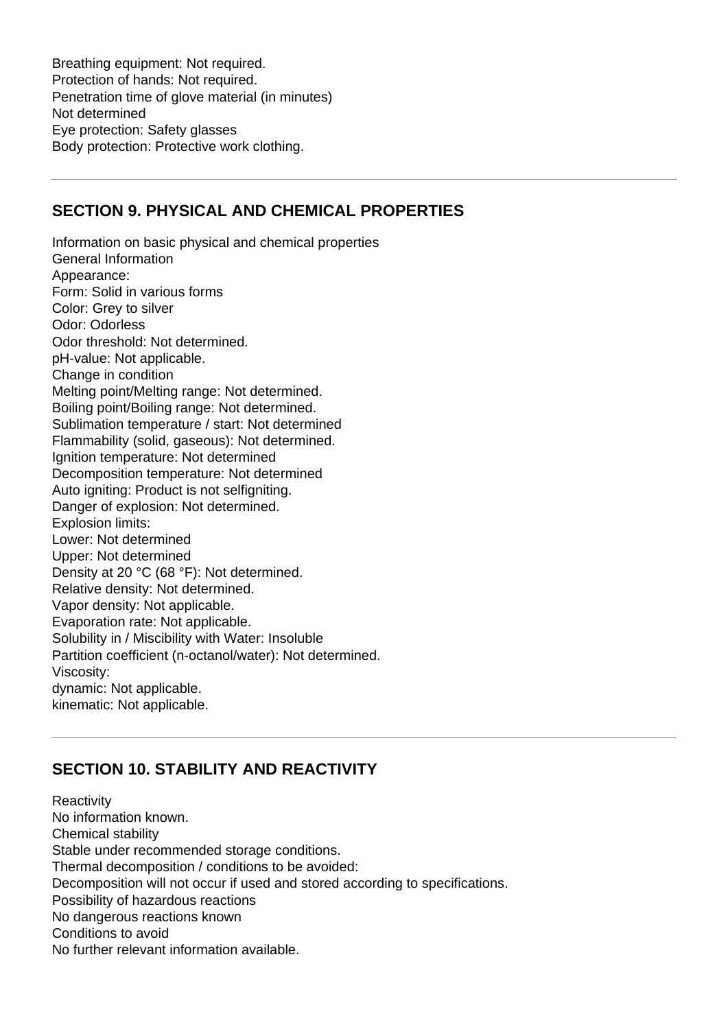Breathing equipment: Not required. Protection of hands: Not required. Penetration time of glove material (in minutes) Not determined Eye protection: Safety glasses Body protection: Protective work clothing.

#### **SECTION 9. PHYSICAL AND CHEMICAL PROPERTIES**

Information on basic physical and chemical properties General Information Appearance: Form: Solid in various forms Color: Grey to silver Odor: Odorless Odor threshold: Not determined. pH-value: Not applicable. Change in condition Melting point/Melting range: Not determined. Boiling point/Boiling range: Not determined. Sublimation temperature / start: Not determined Flammability (solid, gaseous): Not determined. Ignition temperature: Not determined Decomposition temperature: Not determined Auto igniting: Product is not selfigniting. Danger of explosion: Not determined. Explosion limits: Lower: Not determined Upper: Not determined Density at 20 °C (68 °F): Not determined. Relative density: Not determined. Vapor density: Not applicable. Evaporation rate: Not applicable. Solubility in / Miscibility with Water: Insoluble Partition coefficient (n-octanol/water): Not determined. Viscosity: dynamic: Not applicable. kinematic: Not applicable.

## **SECTION 10. STABILITY AND REACTIVITY**

**Reactivity** No information known. Chemical stability Stable under recommended storage conditions. Thermal decomposition / conditions to be avoided: Decomposition will not occur if used and stored according to specifications. Possibility of hazardous reactions No dangerous reactions known Conditions to avoid No further relevant information available.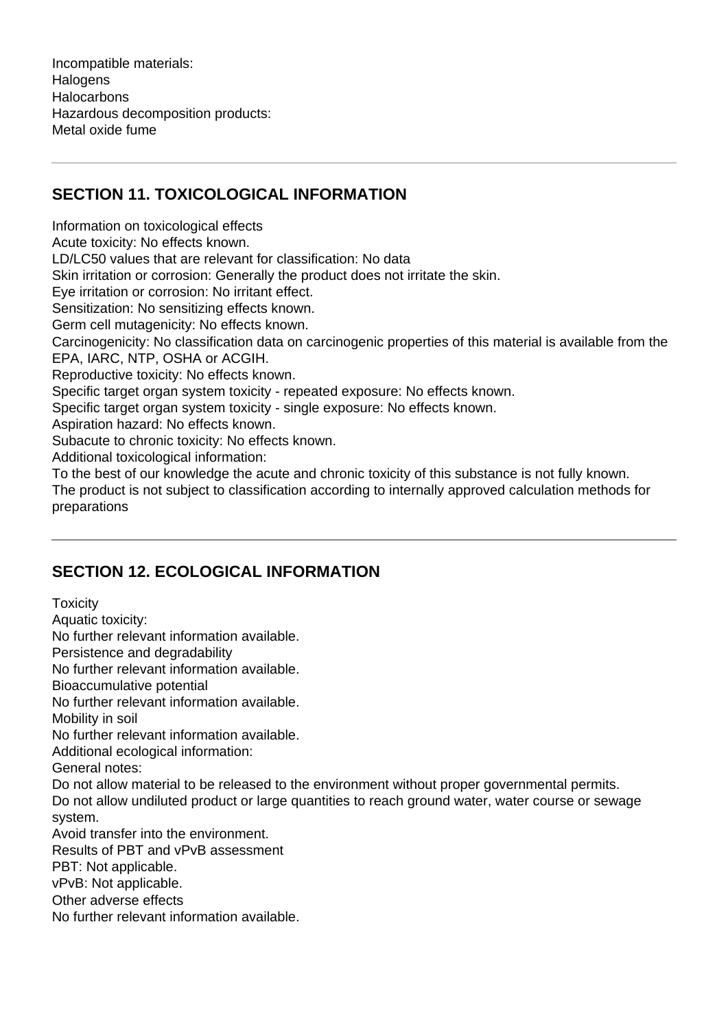Incompatible materials: **Halogens Halocarbons** Hazardous decomposition products: Metal oxide fume

## **SECTION 11. TOXICOLOGICAL INFORMATION**

Information on toxicological effects Acute toxicity: No effects known. LD/LC50 values that are relevant for classification: No data Skin irritation or corrosion: Generally the product does not irritate the skin. Eye irritation or corrosion: No irritant effect. Sensitization: No sensitizing effects known. Germ cell mutagenicity: No effects known. Carcinogenicity: No classification data on carcinogenic properties of this material is available from the EPA, IARC, NTP, OSHA or ACGIH. Reproductive toxicity: No effects known. Specific target organ system toxicity - repeated exposure: No effects known. Specific target organ system toxicity - single exposure: No effects known. Aspiration hazard: No effects known. Subacute to chronic toxicity: No effects known. Additional toxicological information: To the best of our knowledge the acute and chronic toxicity of this substance is not fully known. The product is not subject to classification according to internally approved calculation methods for preparations

## **SECTION 12. ECOLOGICAL INFORMATION**

**Toxicity** Aquatic toxicity: No further relevant information available. Persistence and degradability No further relevant information available. Bioaccumulative potential No further relevant information available. Mobility in soil No further relevant information available. Additional ecological information: General notes: Do not allow material to be released to the environment without proper governmental permits. Do not allow undiluted product or large quantities to reach ground water, water course or sewage system. Avoid transfer into the environment. Results of PBT and vPvB assessment PBT: Not applicable. vPvB: Not applicable. Other adverse effects No further relevant information available.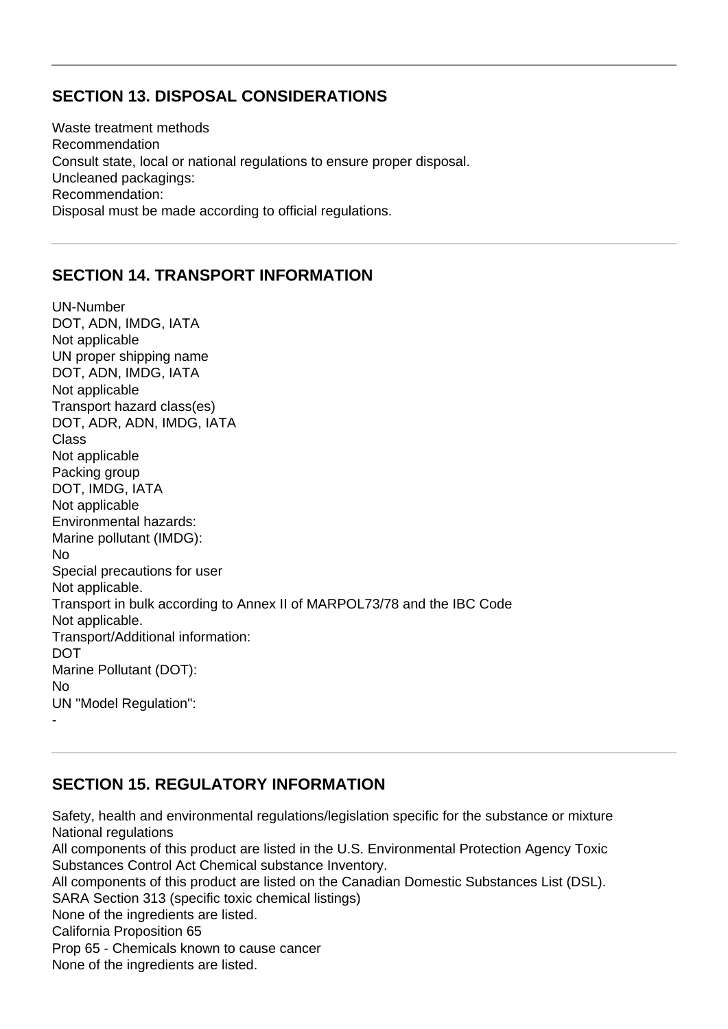## **SECTION 13. DISPOSAL CONSIDERATIONS**

Waste treatment methods Recommendation Consult state, local or national regulations to ensure proper disposal. Uncleaned packagings: Recommendation: Disposal must be made according to official regulations.

## **SECTION 14. TRANSPORT INFORMATION**

UN-Number DOT, ADN, IMDG, IATA Not applicable UN proper shipping name DOT, ADN, IMDG, IATA Not applicable Transport hazard class(es) DOT, ADR, ADN, IMDG, IATA Class Not applicable Packing group DOT, IMDG, IATA Not applicable Environmental hazards: Marine pollutant (IMDG): No Special precautions for user Not applicable. Transport in bulk according to Annex II of MARPOL73/78 and the IBC Code Not applicable. Transport/Additional information: DOT Marine Pollutant (DOT): No UN "Model Regulation": -

## **SECTION 15. REGULATORY INFORMATION**

Safety, health and environmental regulations/legislation specific for the substance or mixture National regulations All components of this product are listed in the U.S. Environmental Protection Agency Toxic Substances Control Act Chemical substance Inventory. All components of this product are listed on the Canadian Domestic Substances List (DSL). SARA Section 313 (specific toxic chemical listings) None of the ingredients are listed. California Proposition 65 Prop 65 - Chemicals known to cause cancer None of the ingredients are listed.